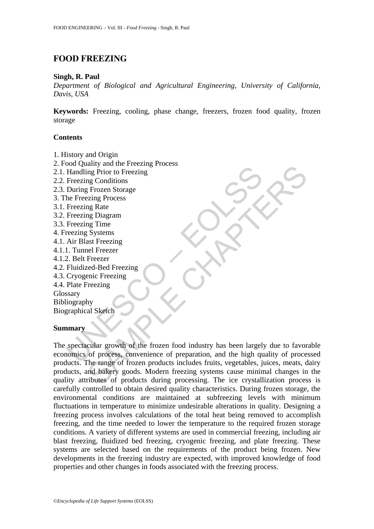# **FOOD FREEZING**

#### **Singh, R. Paul**

*Department of Biological and Agricultural Engineering, University of California, Davis, USA* 

**Keywords:** Freezing, cooling, phase change, freezers, frozen food quality, frozen storage

#### **Contents**

- 1. History and Origin
- 2. Food Quality and the Freezing Process
- 2.1. Handling Prior to Freezing
- 2.2. Freezing Conditions
- 2.3. During Frozen Storage
- 3. The Freezing Process
- 3.1. Freezing Rate
- 3.2. Freezing Diagram
- 3.3. Freezing Time
- 4. Freezing Systems
- 4.1. Air Blast Freezing
- 4.1.1. Tunnel Freezer
- 4.1.2. Belt Freezer
- 4.2. Fluidized-Bed Freezing
- 4.3. Cryogenic Freezing
- 4.4. Plate Freezing Glossary

Bibliography

Biographical Sketch

#### **Summary**

Source (The Freezing Prior to Freezing Prior to Freezing Conditions<br>
Freezing Conditions<br>
During Frozen Storage<br>
Freezing Recors<br>
Freezing Diagram<br>
Freezing Diagram<br>
Freezing Systems<br>
Air Blast Freezing<br>
1. Tunnel Freezer<br> The part of Freezing<br>
Ing Prior to Freezing<br>
Ing Conditions<br>
Ing Prior to Freezing<br>
Ing Conditions<br>
Ing Street Street<br>
Ing Chaptann<br>
SAME (Systems<br>
SAME Freezing<br>
Freezing<br>
Ing Time<br>
Freezing<br>
Sans Freezing<br>
She rates of o The spectacular growth of the frozen food industry has been largely due to favorable economics of process, convenience of preparation, and the high quality of processed products. The range of frozen products includes fruits, vegetables, juices, meats, dairy products, and bakery goods. Modern freezing systems cause minimal changes in the quality attributes of products during processing. The ice crystallization process is carefully controlled to obtain desired quality characteristics. During frozen storage, the environmental conditions are maintained at subfreezing levels with minimum fluctuations in temperature to minimize undesirable alterations in quality. Designing a freezing process involves calculations of the total heat being removed to accomplish freezing, and the time needed to lower the temperature to the required frozen storage conditions. A variety of different systems are used in commercial freezing, including air blast freezing, fluidized bed freezing, cryogenic freezing, and plate freezing. These systems are selected based on the requirements of the product being frozen. New developments in the freezing industry are expected, with improved knowledge of food properties and other changes in foods associated with the freezing process.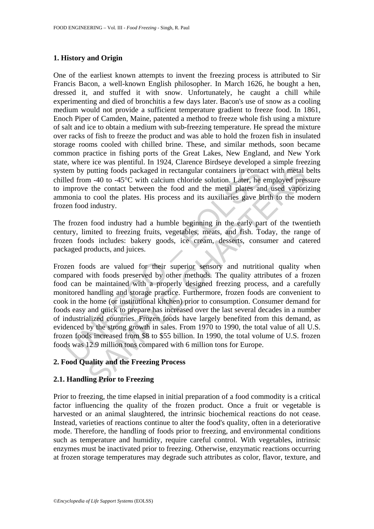## **1. History and Origin**

One of the earliest known attempts to invent the freezing process is attributed to Sir Francis Bacon, a well-known English philosopher. In March 1626, he bought a hen, dressed it, and stuffed it with snow. Unfortunately, he caught a chill while experimenting and died of bronchitis a few days later. Bacon's use of snow as a cooling medium would not provide a sufficient temperature gradient to freeze food. In 1861, Enoch Piper of Camden, Maine, patented a method to freeze whole fish using a mixture of salt and ice to obtain a medium with sub-freezing temperature. He spread the mixture over racks of fish to freeze the product and was able to hold the frozen fish in insulated storage rooms cooled with chilled brine. These, and similar methods, soon became common practice in fishing ports of the Great Lakes, New England, and New York state, where ice was plentiful. In 1924, Clarence Birdseye developed a simple freezing system by putting foods packaged in rectangular containers in contact with metal belts chilled from -40 to -45°C with calcium chloride solution. Later, he employed pressure to improve the contact between the food and the metal plates and used vaporizing ammonia to cool the plates. His process and its auxiliaries gave birth to the modern frozen food industry.

The frozen food industry had a humble beginning in the early part of the twentieth century, limited to freezing fruits, vegetables, meats, and fish. Today, the range of frozen foods includes: bakery goods, ice cream, desserts, consumer and catered packaged products, and juices.

em by putting foods packaged in rectangular containers in conta<br>led from -40 to -45°C with calcium chloride solution. Later, he<br>mprove the contact between the food and the metal plates an<br>monia to cool the plates. His proc putting foods packaged in rectangular containers in contact with metal putting foods packaged in rectangular containers in contact with metal 1 m -40 to -45°C with calcium chloride solution. Later, he employed pres the con Frozen foods are valued for their superior sensory and nutritional quality when compared with foods preserved by other methods. The quality attributes of a frozen food can be maintained with a properly designed freezing process, and a carefully monitored handling and storage practice. Furthermore, frozen foods are convenient to cook in the home (or institutional kitchen) prior to consumption. Consumer demand for foods easy and quick to prepare has increased over the last several decades in a number of industrialized countries. Frozen foods have largely benefited from this demand, as evidenced by the strong growth in sales. From 1970 to 1990, the total value of all U.S. frozen foods increased from \$8 to \$55 billion. In 1990, the total volume of U.S. frozen foods was 12.9 million tons compared with 6 million tons for Europe.

## **2. Food Quality and the Freezing Process**

## **2.1. Handling Prior to Freezing**

Prior to freezing, the time elapsed in initial preparation of a food commodity is a critical factor influencing the quality of the frozen product. Once a fruit or vegetable is harvested or an animal slaughtered, the intrinsic biochemical reactions do not cease. Instead, varieties of reactions continue to alter the food's quality, often in a deteriorative mode. Therefore, the handling of foods prior to freezing, and environmental conditions such as temperature and humidity, require careful control. With vegetables, intrinsic enzymes must be inactivated prior to freezing. Otherwise, enzymatic reactions occurring at frozen storage temperatures may degrade such attributes as color, flavor, texture, and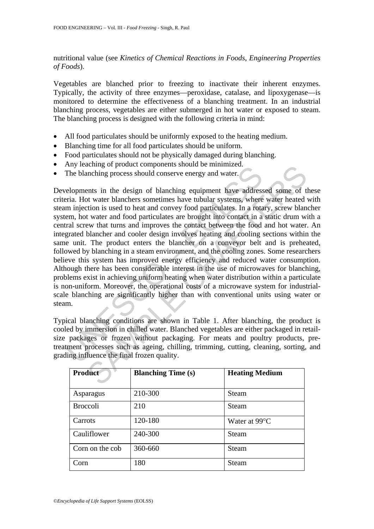nutritional value (see *Kinetics of Chemical Reactions in Foods*, *Engineering Properties of Foods*).

Vegetables are blanched prior to freezing to inactivate their inherent enzymes. Typically, the activity of three enzymes—peroxidase, catalase, and lipoxygenase—is monitored to determine the effectiveness of a blanching treatment. In an industrial blanching process, vegetables are either submerged in hot water or exposed to steam. The blanching process is designed with the following criteria in mind:

- All food particulates should be uniformly exposed to the heating medium.
- Blanching time for all food particulates should be uniform.
- Food particulates should not be physically damaged during blanching.
- Any leaching of product components should be minimized.
- The blanching process should conserve energy and water.

Higher than the design of polonic components should be imminized.<br>The blanching process should conserve energy and water.<br>Fine blanching process should conserve energy and water.<br>Fine Mot water blanchers sometimes have tub Example of poduct components shound be minimized.<br>
The most process should conserve energy and water.<br>
The most water blanchers sometimes have addressed some of the water blanchers sometimes have water blanchers were water Developments in the design of blanching equipment have addressed some of these criteria. Hot water blanchers sometimes have tubular systems, where water heated with steam injection is used to heat and convey food particulates. In a rotary, screw blancher system, hot water and food particulates are brought into contact in a static drum with a central screw that turns and improves the contact between the food and hot water. An integrated blancher and cooler design involves heating and cooling sections within the same unit. The product enters the blancher on a conveyor belt and is preheated, followed by blanching in a steam environment, and the cooling zones. Some researchers believe this system has improved energy efficiency and reduced water consumption. Although there has been considerable interest in the use of microwaves for blanching, problems exist in achieving uniform heating when water distribution within a particulate is non-uniform. Moreover, the operational costs of a microwave system for industrialscale blanching are significantly higher than with conventional units using water or steam.

Typical blanching conditions are shown in Table 1. After blanching, the product is cooled by immersion in chilled water. Blanched vegetables are either packaged in retailsize packages or frozen without packaging. For meats and poultry products, pretreatment processes such as ageing, chilling, trimming, cutting, cleaning, sorting, and grading influence the final frozen quality.

| Product         | <b>Blanching Time (s)</b> | <b>Heating Medium</b> |
|-----------------|---------------------------|-----------------------|
| Asparagus       | 210-300                   | Steam                 |
| <b>Broccoli</b> | 210                       | Steam                 |
| Carrots         | 120-180                   | Water at 99 °C        |
| Cauliflower     | 240-300                   | Steam                 |
| Corn on the cob | 360-660                   | Steam                 |
| Corn            | 180                       | Steam                 |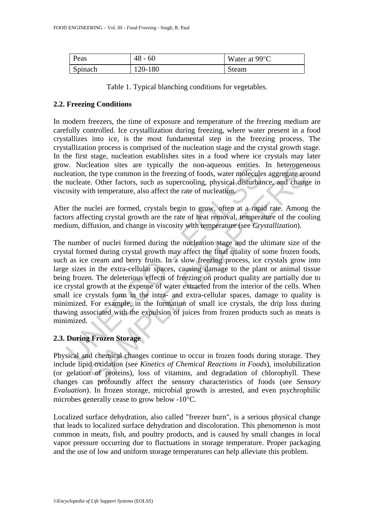| Peas    | $48 - 60$ | Water at 99 °C |
|---------|-----------|----------------|
| Spinach | 120-180   | Steam          |

Table 1. Typical blanching conditions for vegetables.

## **2.2. Freezing Conditions**

In modern freezers, the time of exposure and temperature of the freezing medium are carefully controlled. Ice crystallization during freezing, where water present in a food crystallizes into ice, is the most fundamental step in the freezing process. The crystallization process is comprised of the nucleation stage and the crystal growth stage. In the first stage, nucleation establishes sites in a food where ice crystals may later grow. Nucleation sites are typically the non-aqueous entities. In heterogeneous nucleation, the type common in the freezing of foods, water molecules aggregate around the nucleate. Other factors, such as supercooling, physical disturbance, and change in viscosity with temperature, also affect the rate of nucleation.

After the nuclei are formed, crystals begin to grow, often at a rapid rate. Among the factors affecting crystal growth are the rate of heat removal, temperature of the cooling medium, diffusion, and change in viscosity with temperature (see *Crystallization*).

X. Nucleation sites are typicary the non-aquotion sites are typically the non-aquotis entirelection, the type common in the freezing of foods, water molecule nucleate. Other factors, such as supercooling, physical disturba cleanton sties are typically the non-aqueous entities. In netrogeneous contains the type common in the freezing of foods, water molecules ageregate arce. Other factors, such as supercooling, physical disturbance, and chan The number of nuclei formed during the nucleation stage and the ultimate size of the crystal formed during crystal growth may affect the final quality of some frozen foods, such as ice cream and berry fruits. In a slow freezing process, ice crystals grow into large sizes in the extra-cellular spaces, causing damage to the plant or animal tissue being frozen. The deleterious effects of freezing on product quality are partially due to ice crystal growth at the expense of water extracted from the interior of the cells. When small ice crystals form in the intra- and extra-cellular spaces, damage to quality is minimized. For example, in the formation of small ice crystals, the drip loss during thawing associated with the expulsion of juices from frozen products such as meats is minimized.

## **2.3. During Frozen Storage**

Physical and chemical changes continue to occur in frozen foods during storage. They include lipid oxidation (see *Kinetics of Chemical Reactions in Foods*), insolubilization (or gelation of proteins), loss of vitamins, and degradation of chlorophyll. These changes can profoundly affect the sensory characteristics of foods (see *Sensory Evaluation*). In frozen storage, microbial growth is arrested, and even psychrophilic microbes generally cease to grow below -10°C.

Localized surface dehydration, also called "freezer burn", is a serious physical change that leads to localized surface dehydration and discoloration. This phenomenon is most common in meats, fish, and poultry products, and is caused by small changes in local vapor pressure occurring due to fluctuations in storage temperature. Proper packaging and the use of low and uniform storage temperatures can help alleviate this problem.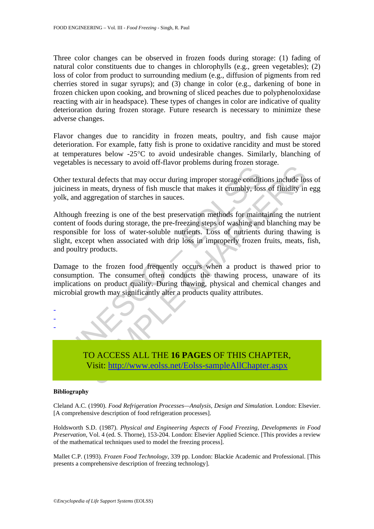Three color changes can be observed in frozen foods during storage: (1) fading of natural color constituents due to changes in chlorophylls (e.g., green vegetables); (2) loss of color from product to surrounding medium (e.g., diffusion of pigments from red cherries stored in sugar syrups); and (3) change in color (e.g., darkening of bone in frozen chicken upon cooking, and browning of sliced peaches due to polyphenoloxidase reacting with air in headspace). These types of changes in color are indicative of quality deterioration during frozen storage. Future research is necessary to minimize these adverse changes.

Flavor changes due to rancidity in frozen meats, poultry, and fish cause major deterioration. For example, fatty fish is prone to oxidative rancidity and must be stored at temperatures below -25°C to avoid undesirable changes. Similarly, blanching of vegetables is necessary to avoid off-flavor problems during frozen storage.

Other textural defects that may occur during improper storage conditions include loss of juiciness in meats, dryness of fish muscle that makes it crumbly, loss of fluidity in egg yolk, and aggregation of starches in sauces.

The methanon of the matter and process are the matter and process in measure in the matter of the matter of the matter in matter in matter in matter in matter in matter in matter is all and a street in same stream of foods Is the case of the mass of the mass of the mass of the mass of the mass of the mass of the mass is even during improper storage conditions include los meats, dryness of fish muscle that makes it erumbly, loss of fluidity i Although freezing is one of the best preservation methods for maintaining the nutrient content of foods during storage, the pre-freezing steps of washing and blanching may be responsible for loss of water-soluble nutrients. Loss of nutrients during thawing is slight, except when associated with drip loss in improperly frozen fruits, meats, fish, and poultry products.

Damage to the frozen food frequently occurs when a product is thawed prior to consumption. The consumer often conducts the thawing process, unaware of its implications on product quality. During thawing, physical and chemical changes and microbial growth may significantly alter a products quality attributes.



TO ACCESS ALL THE **16 PAGES** OF THIS CHAPTER, Visit: http://www.eolss.net/Eolss-sampleAllChapter.aspx

#### **Bibliography**

Cleland A.C. (1990). *Food Refrigeration Processes—Analysis, Design and Simulation.* London: Elsevier. [A comprehensive description of food refrigeration processes].

Holdsworth S.D. (1987). *Physical and Engineering Aspects of Food Freezing, Developments in Food Preservation*, Vol. 4 (ed. S. Thorne), 153-204. London: Elsevier Applied Science. [This provides a review of the mathematical techniques used to model the freezing process].

Mallet C.P. (1993). *Frozen Food Technology*, 339 pp. London: Blackie Academic and Professional. [This presents a comprehensive description of freezing technology].